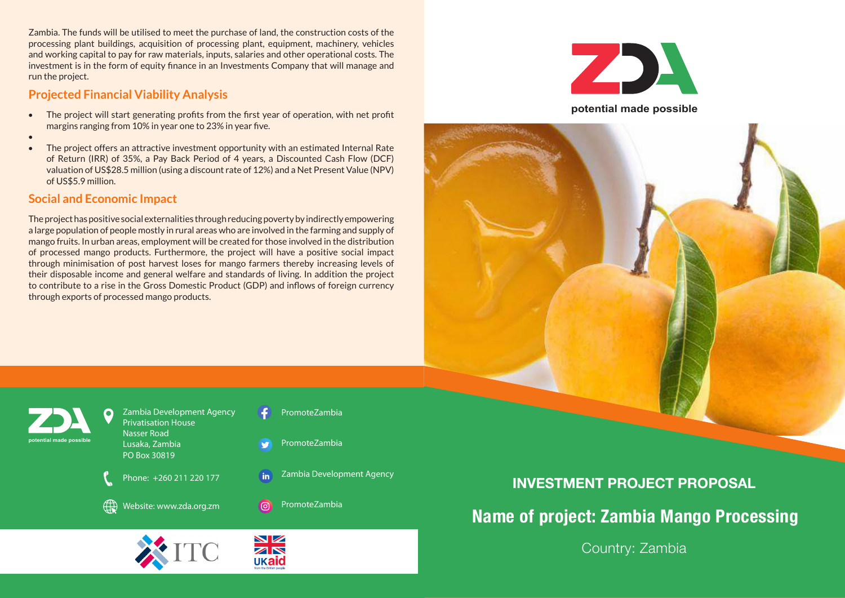Zambia. The funds will be utilised to meet the purchase of land, the construction costs of the processing plant buildings, acquisition of processing plant, equipment, machinery, vehicles and working capital to pay for raw materials, inputs, salaries and other operational costs. The investment is in the form of equity finance in an Investments Company that will manage and run the project.

# **Projected Financial Viability Analysis**

- The project will start generating profits from the first year of operation, with net profit margins ranging from 10% in year one to 23% in year five.
- •
- The project offers an attractive investment opportunity with an estimated Internal Rate of Return (IRR) of 35%, a Pay Back Period of 4 years, a Discounted Cash Flow (DCF) valuation of US\$28.5 million (using a discount rate of 12%) and a Net Present Value (NPV) of US\$5.9 million.

# **Social and Economic Impact**

The project has positive social externalities through reducing poverty by indirectly empowering a large population of people mostly in rural areas who are involved in the farming and supply of mango fruits. In urban areas, employment will be created for those involved in the distribution of processed mango products. Furthermore, the project will have a positive social impact through minimisation of post harvest loses for mango farmers thereby increasing levels of their disposable income and general welfare and standards of living. In addition the project to contribute to a rise in the Gross Domestic Product (GDP) and inflows of foreign currency through exports of processed mango products.



**potential made possible**





Zambia Development Agency Privatisation House Nasser Road Lusaka, Zambia PO Box 30819

Phone: +260 211 220 177

Website: www.zda.org.zm



**in** 

PromoteZambia

PromoteZambia

Zambia Development Agency



**INVESTMENT PROJECT PROPOSAL**

**Name of project: Zambia Mango Processing**

Country: Zambia